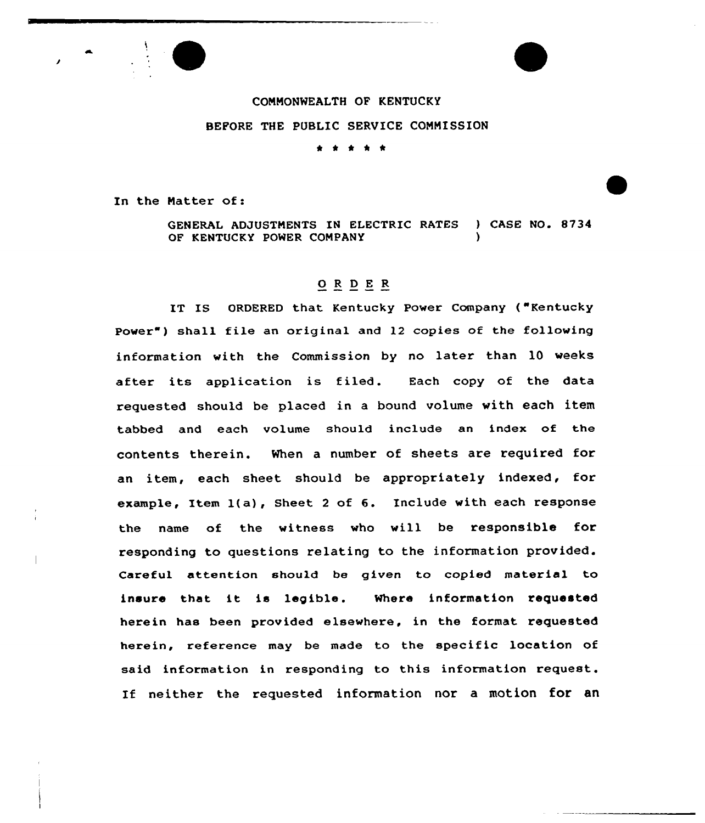

COMMONWEALTH OF KENTUCKY BEFORE THE PUBLIC SERVICE COMMISSION \* \* \* \* \*

In the Natter of:

GENERAL ADJUSTMENTS IN ELECTRIC RATES ) CASE NO. 8734 OF KENTUCKY POWER COMPANY

## ORDER

IT IS ORDERED that Kentucky Power Company ("Kentucky Power") shall file an original and 12 copies of the following information with the Commission by no later than 10 weeks after its application is filed. Each copy of the data requested should be placed in a bound volume with each item tabbed and each volume should include an index of the contents therein. When a number of sheets are required for an item, each sheet should be appropriately indexed, for example, Item l(a), Sheet <sup>2</sup> of 6. Include with each response the name of the witness who will be responsible for responding to questions relating to the information provided. Careful attention should be given to copied material to insure that it is legible. Where information requested herein has been provided elsewhere, in the format requested herein, reference may be made to the specific location of said information in responding to this information request. If neither the requested information nor a motion for an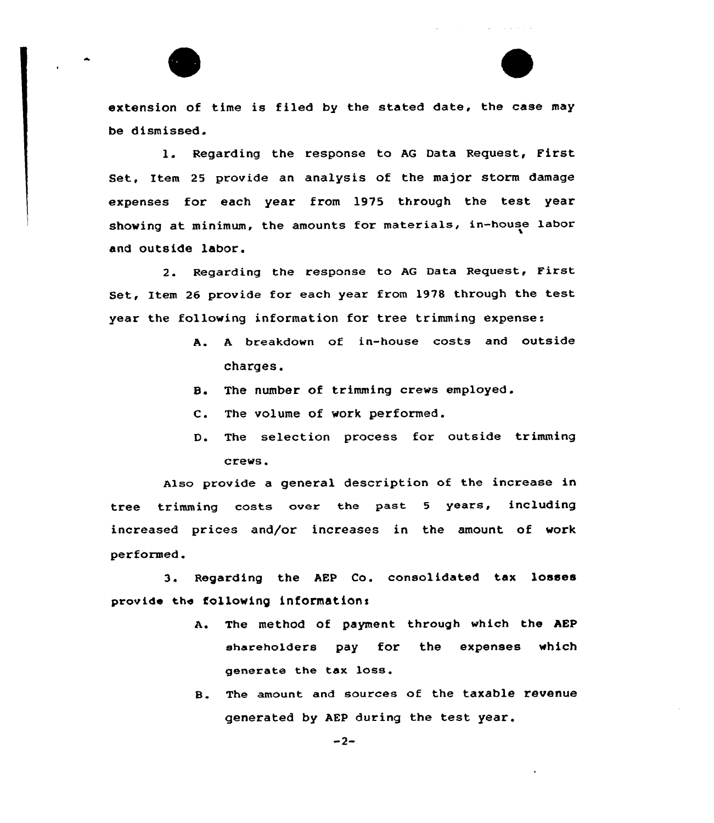extension of time is filed by the stated date, the case may be dismissed.

1. Regarding the response to AG Data Request, First Set, Item 25 provide an analysis of the major storm damage expenses for each year from 1915 through the test year showing at minimum, the amounts for materials, in-house labor and outside labor.

2. Regarding the response to AG Data Request, First Set, Item <sup>26</sup> provide for each year from 1978 through the test year the following information for tree trimming expense:

- A. <sup>A</sup> breakdown of in-house costs and outside charges.
- B. The number of trimming crews employed.
- C. The volume of work performed.
- D. The selection process for outside trimming crevs.

Also provide a general description of the increase in tree trimming costs over the past <sup>5</sup> years, including increased prices and/or increases in the amount of work performed.

3. Regarding the AEP Co. consolidated tax losses provide the following information:

- A. The method of payment through which the AEP shareholders pay for the expenses which generate the tax loss.
- B. The amount and sources of the taxable revenue generated by AEP during the test year.

 $-2-$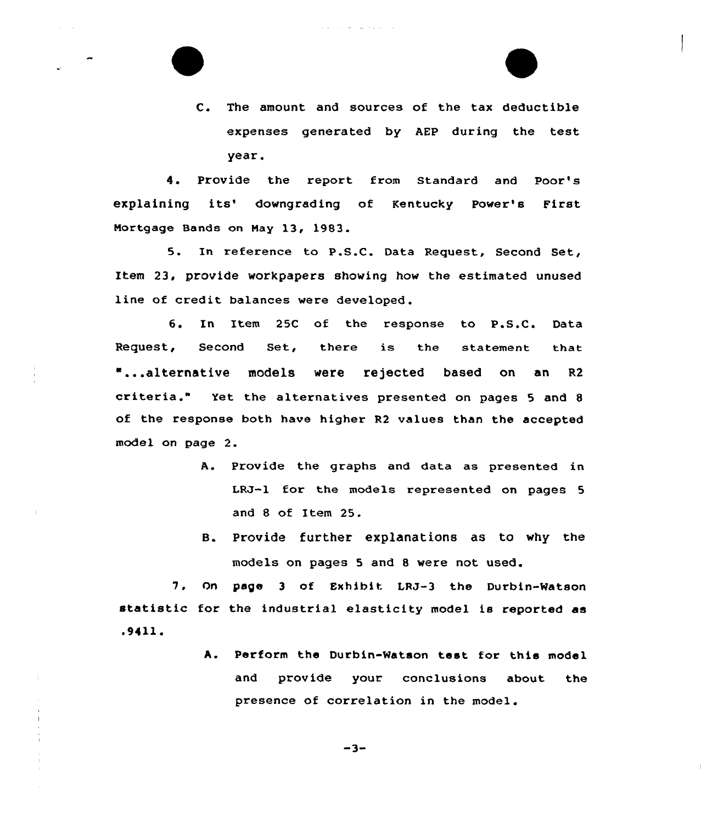C. The amount and sources of the tax deductible expenses generated by AEP during the test year.

4. Provide the report from Standard and Poor's explaining its' downgrading of Kentucky Power's First Nortgage Bands on Nay 13, 1983.

5. In reference to P.S.C. Data Request, Second Set, Item 23, provide workpapers showing how the estimated unused line of credit balances were developed.

6. In Item 25C of the response to P.S.C. Data  $\texttt{Request,} \quad \texttt{Second} \quad \texttt{Set,} \quad \texttt{there} \quad \texttt{is} \quad \texttt{the} \quad \texttt{statement} \quad \texttt{the}$ "...alternative models were rejected based on an R2 criteria." Yet the alternatives presented on pages <sup>5</sup> and <sup>8</sup> of the response both have higher R2 values than the accepted model on page 2.

- A. Provide the graphs and data as presented in LRJ-1 for the models represented on pages <sup>5</sup> and 8 of Item 25.
- B. Provide further explanations as to why the models on pages 5 and 8 were not used.

7. On page <sup>3</sup> of Exhibit LRJ-3 the Durbin-watson statistic for the industrial elasticity model is reported as .94ll.

> A. Perform the Durbin-Watson test for this model and provide your conclusions about the presence of correlation in the model.

> > $-3-$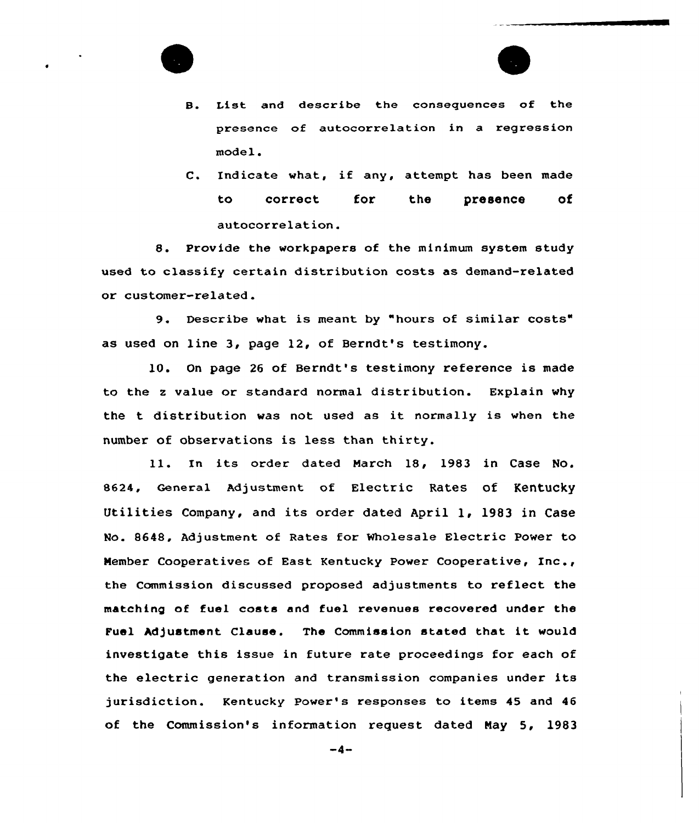

- B. List and describe the consequences of the presence of autocorrelation in a regression model.
- C. Indicate what, if any, attempt has been made to correct for the presence of autocorrelation.

8. Provide the workpapers of the minimum system study used to classify certain distribution costs as demand-related or customer-related.

9. Describe what is meant by "hours of similar costs" as used on line 3, page 12, of Berndt's testimony.

10. On page <sup>26</sup> of Berndt's testimony reference is made to the <sup>z</sup> value or standard normal distribution. Explain why the t distribution was not used as it normally is when the number of observations is less than thirty.

ll. In its order dated March 18, <sup>1983</sup> in Case No. 8624, General Adjustment of Electric Rates of Kentucky Utilities Company, and its order dated April 1, 1983 in Case No. 8648, Adjustment of Rates for Wholesale Electric Power to Member Cooperatives of East Kentucky Power Cooperative, Inc., the Commission discussed proposed adjustments to reflect the matching of fuel costs and fuel revenues recovered under the Fuel Adjustment Clause. The Commission stated that it would investigate this issue in future rate proceedings for each of the electric generation and transmission companies under its jurisdiction. Kentucky Power's responses to items 45 and 46 of the Commission's information request dated Nay 5, 1983

 $-4-$